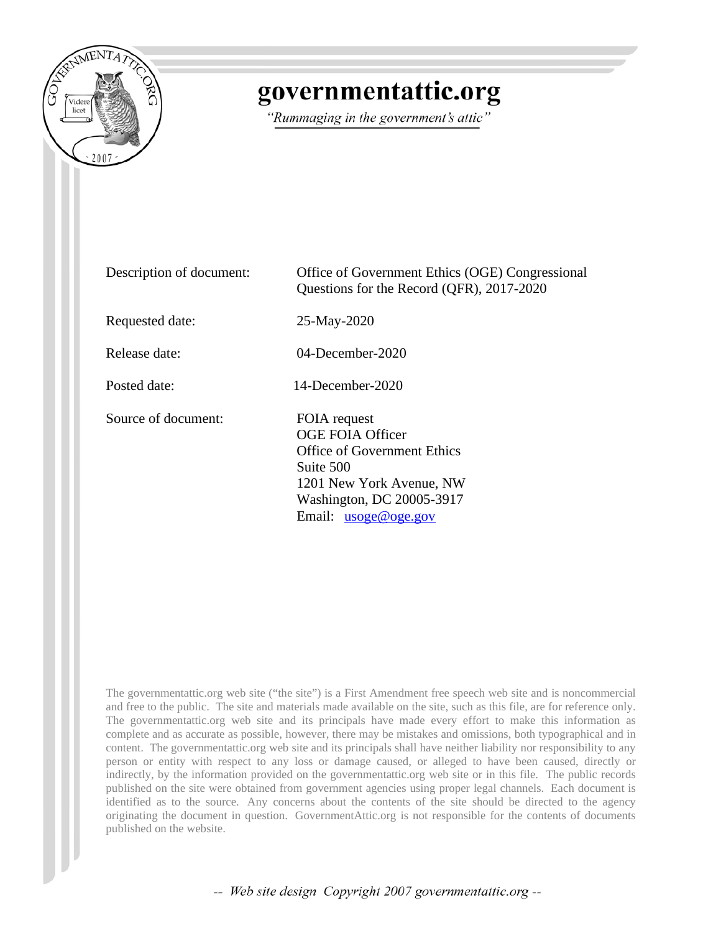

# governmentattic.org

"Rummaging in the government's attic"

| Description of document: | Office of Government Ethics (OGE) Congressional<br>Questions for the Record (QFR), 2017-2020                                                                           |
|--------------------------|------------------------------------------------------------------------------------------------------------------------------------------------------------------------|
| Requested date:          | 25-May-2020                                                                                                                                                            |
| Release date:            | $04$ -December-2020                                                                                                                                                    |
| Posted date:             | 14-December-2020                                                                                                                                                       |
| Source of document:      | FOIA request<br>OGE FOIA Officer<br><b>Office of Government Ethics</b><br>Suite 500<br>1201 New York Avenue, NW<br>Washington, DC 20005-3917<br>Email: $usoge@oge.gov$ |

The governmentattic.org web site ("the site") is a First Amendment free speech web site and is noncommercial and free to the public. The site and materials made available on the site, such as this file, are for reference only. The governmentattic.org web site and its principals have made every effort to make this information as complete and as accurate as possible, however, there may be mistakes and omissions, both typographical and in content. The governmentattic.org web site and its principals shall have neither liability nor responsibility to any person or entity with respect to any loss or damage caused, or alleged to have been caused, directly or indirectly, by the information provided on the governmentattic.org web site or in this file. The public records published on the site were obtained from government agencies using proper legal channels. Each document is identified as to the source. Any concerns about the contents of the site should be directed to the agency originating the document in question. GovernmentAttic.org is not responsible for the contents of documents published on the website.

-- Web site design Copyright 2007 governmentattic.org --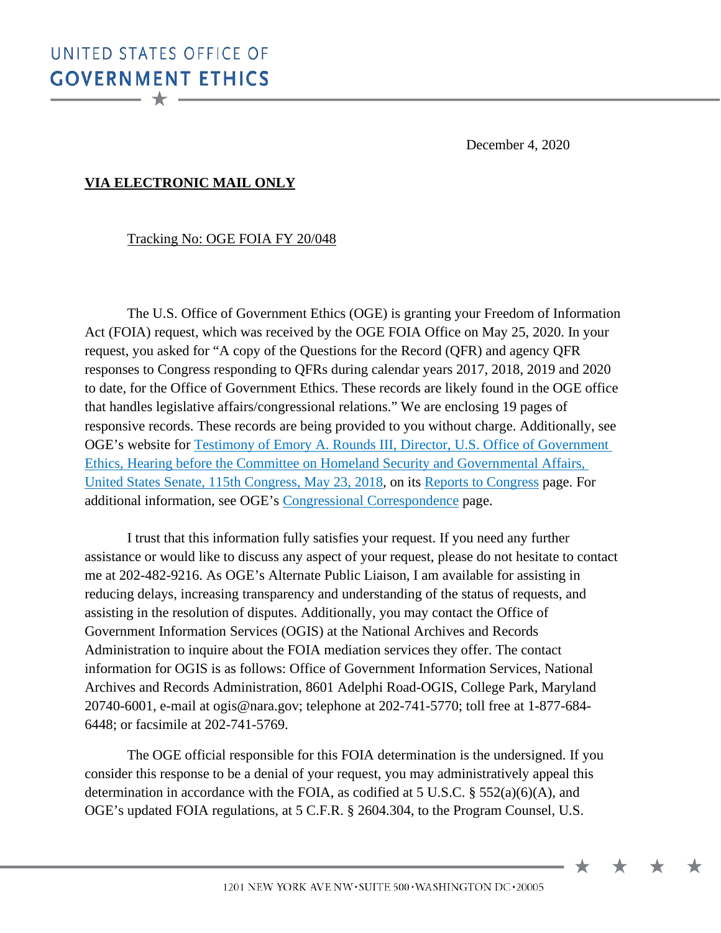December 4, 2020

 $\bigstar$ 

# **VIA ELECTRONIC MAIL ONLY**

#### Tracking No: OGE FOIA FY 20/048

The U.S. Office of Government Ethics (OGE) is granting your Freedom of Information Act (FOIA) request, which was received by the OGE FOIA Office on May 25, 2020. In your request, you asked for "A copy of the Questions for the Record (QFR) and agency QFR responses to Congress responding to QFRs during calendar years 2017, 2018, 2019 and 2020 to date, for the Office of Government Ethics. These records are likely found in the OGE office that handles legislative affairs/congressional relations." We are enclosing 19 pages of responsive records. These records are being provided to you without charge. Additionally, see OGE's website for [Testimony of Emory A. Rounds III, Director, U.S. Office of Government](https://www.oge.gov/web/OGE.nsf/0/FB064811923745E6852585B6005A2177/%24FILE/Official%20Hearing%20Record.pdf) [Ethics, Hearing before the Committee on Homeland Security and Governmental Affairs,](https://www.oge.gov/web/OGE.nsf/0/FB064811923745E6852585B6005A2177/%24FILE/Official%20Hearing%20Record.pdf) [United States Senate, 115th Congress, May 23, 2018,](https://www.oge.gov/web/OGE.nsf/0/FB064811923745E6852585B6005A2177/%24FILE/Official%20Hearing%20Record.pdf) on its [Reports to Congress](https://www.oge.gov/web/oge.nsf/about_reports-to-congress) page. For additional information, see OGE's [Congressional Correspondence](https://www.oge.gov/web/oge.nsf/Congressional%20Correspondence?OpenView) page.

I trust that this information fully satisfies your request. If you need any further assistance or would like to discuss any aspect of your request, please do not hesitate to contact me at 202-482-9216. As OGE's Alternate Public Liaison, I am available for assisting in reducing delays, increasing transparency and understanding of the status of requests, and assisting in the resolution of disputes. Additionally, you may contact the Office of Government Information Services (OGIS) at the National Archives and Records Administration to inquire about the FOIA mediation services they offer. The contact information for OGIS is as follows: Office of Government Information Services, National Archives and Records Administration, 8601 Adelphi Road-OGIS, College Park, Maryland 20740-6001, e-mail at ogis@nara.gov; telephone at 202-741-5770; toll free at 1-877-684- 6448; or facsimile at 202-741-5769.

The OGE official responsible for this FOIA determination is the undersigned. If you consider this response to be a denial of your request, you may administratively appeal this determination in accordance with the FOIA, as codified at 5 U.S.C. § 552(a)(6)(A), and OGE's updated FOIA regulations, at 5 C.F.R. § 2604.304, to the Program Counsel, U.S.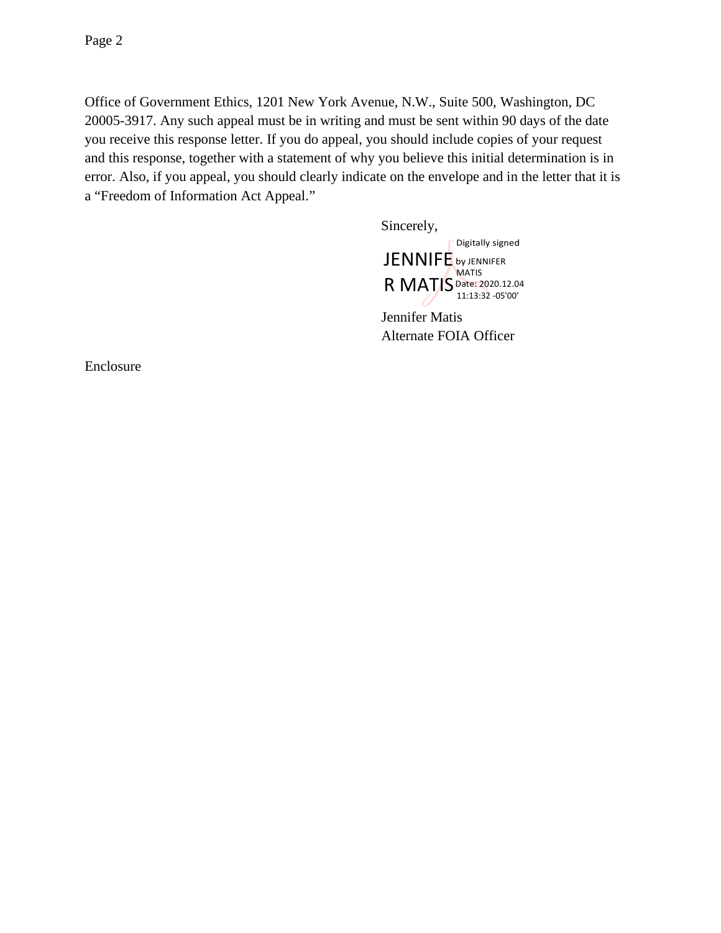Office of Government Ethics, 1201 New York Avenue, N.W., Suite 500, Washington, DC 20005-3917. Any such appeal must be in writing and must be sent within 90 days of the date you receive this response letter. If you do appeal, you should include copies of your request and this response, together with a statement of why you believe this initial determination is in error. Also, if you appeal, you should clearly indicate on the envelope and in the letter that it is a "Freedom of Information Act Appeal."

Sincerely,

Digitally signed JENNIFE by JENNIFER **MATIS** Date: 2020.12.04 R MATIS Date: 2020.12.0

Jennifer Matis Alternate FOIA Officer

Enclosure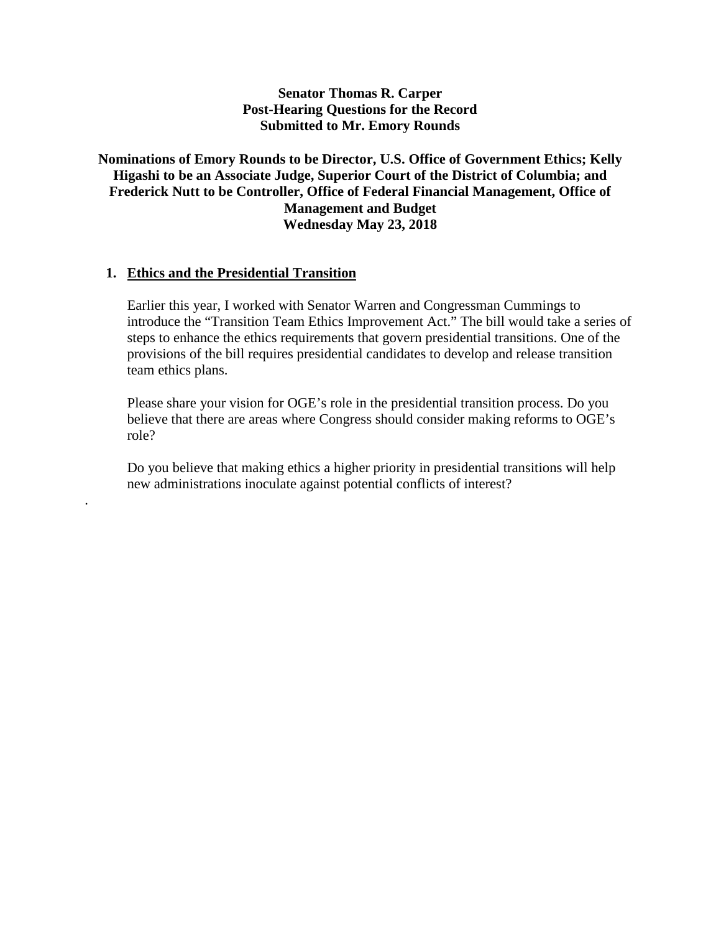# **Senator Thomas R. Carper Post-Hearing Questions for the Record Submitted to Mr. Emory Rounds**

# **Nominations of Emory Rounds to be Director, U.S. Office of Government Ethics; Kelly Higashi to be an Associate Judge, Superior Court of the District of Columbia; and Frederick Nutt to be Controller, Office of Federal Financial Management, Office of Management and Budget Wednesday May 23, 2018**

#### **1. Ethics and the Presidential Transition**

.

Earlier this year, I worked with Senator Warren and Congressman Cummings to introduce the "Transition Team Ethics Improvement Act." The bill would take a series of steps to enhance the ethics requirements that govern presidential transitions. One of the provisions of the bill requires presidential candidates to develop and release transition team ethics plans.

Please share your vision for OGE's role in the presidential transition process. Do you believe that there are areas where Congress should consider making reforms to OGE's role?

Do you believe that making ethics a higher priority in presidential transitions will help new administrations inoculate against potential conflicts of interest?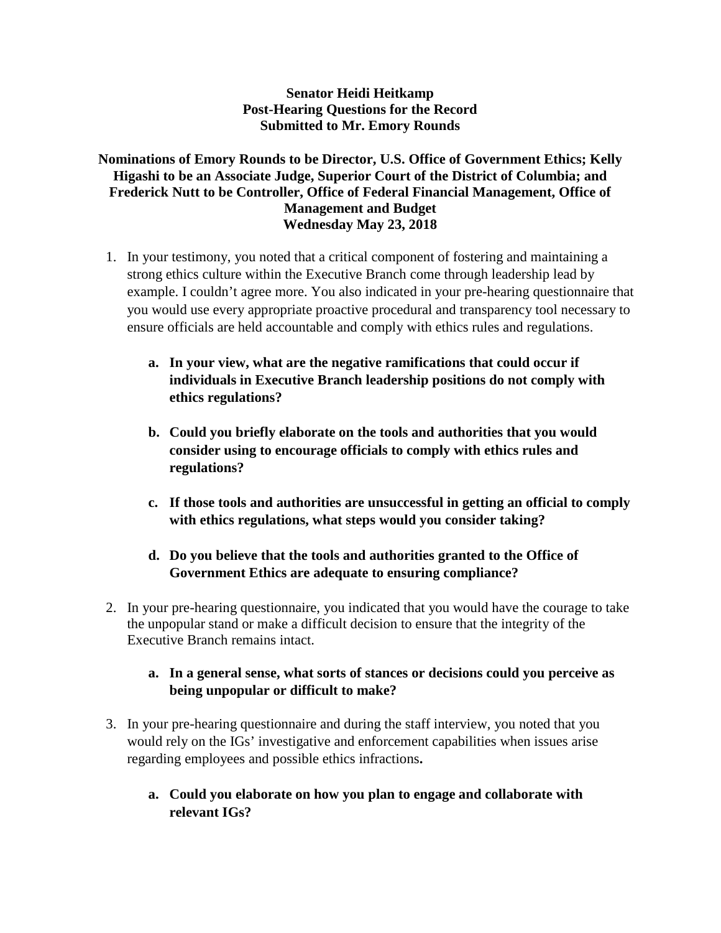# **Senator Heidi Heitkamp Post-Hearing Questions for the Record Submitted to Mr. Emory Rounds**

# **Nominations of Emory Rounds to be Director, U.S. Office of Government Ethics; Kelly Higashi to be an Associate Judge, Superior Court of the District of Columbia; and Frederick Nutt to be Controller, Office of Federal Financial Management, Office of Management and Budget Wednesday May 23, 2018**

- 1. In your testimony, you noted that a critical component of fostering and maintaining a strong ethics culture within the Executive Branch come through leadership lead by example. I couldn't agree more. You also indicated in your pre-hearing questionnaire that you would use every appropriate proactive procedural and transparency tool necessary to ensure officials are held accountable and comply with ethics rules and regulations.
	- **a. In your view, what are the negative ramifications that could occur if individuals in Executive Branch leadership positions do not comply with ethics regulations?**
	- **b. Could you briefly elaborate on the tools and authorities that you would consider using to encourage officials to comply with ethics rules and regulations?**
	- **c. If those tools and authorities are unsuccessful in getting an official to comply with ethics regulations, what steps would you consider taking?**
	- **d. Do you believe that the tools and authorities granted to the Office of Government Ethics are adequate to ensuring compliance?**
- 2. In your pre-hearing questionnaire, you indicated that you would have the courage to take the unpopular stand or make a difficult decision to ensure that the integrity of the Executive Branch remains intact.
	- **a. In a general sense, what sorts of stances or decisions could you perceive as being unpopular or difficult to make?**
- 3. In your pre-hearing questionnaire and during the staff interview, you noted that you would rely on the IGs' investigative and enforcement capabilities when issues arise regarding employees and possible ethics infractions**.** 
	- **a. Could you elaborate on how you plan to engage and collaborate with relevant IGs?**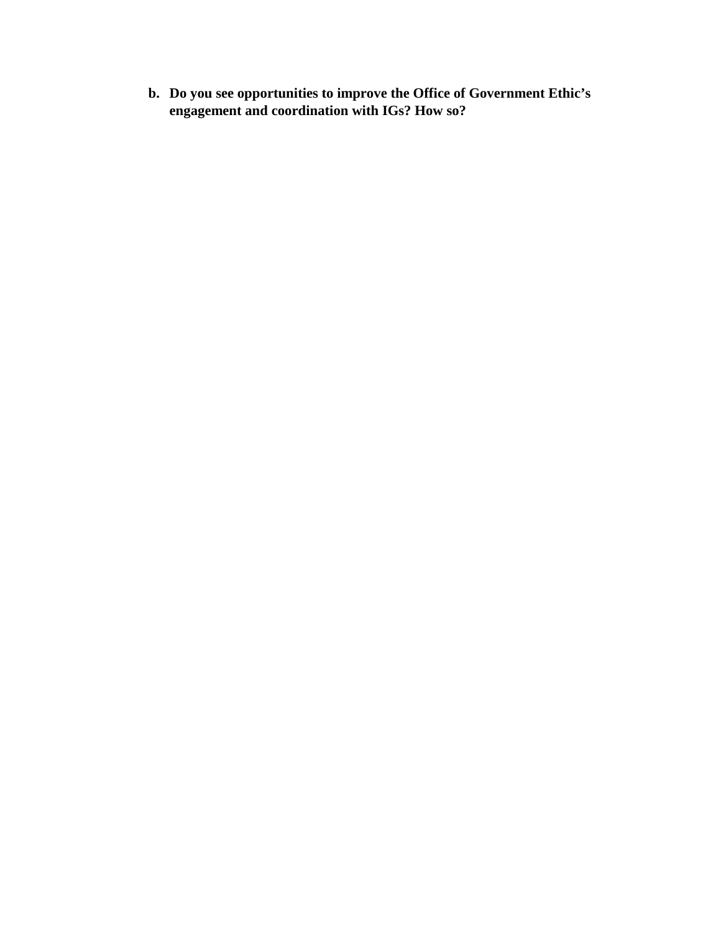**b. Do you see opportunities to improve the Office of Government Ethic's engagement and coordination with IGs? How so?**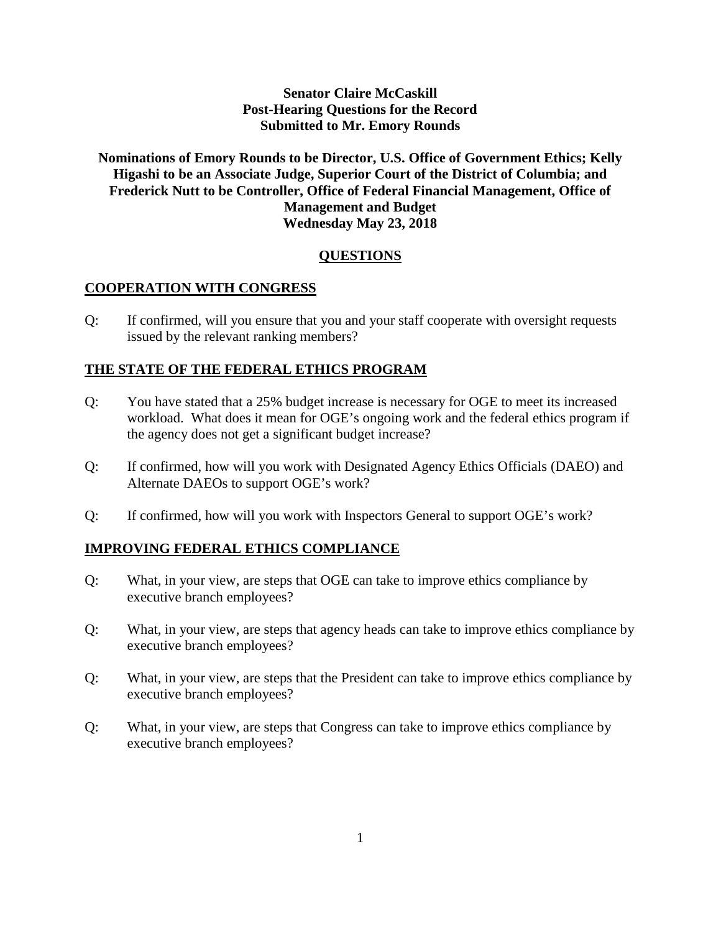# **Senator Claire McCaskill Post-Hearing Questions for the Record Submitted to Mr. Emory Rounds**

# **Nominations of Emory Rounds to be Director, U.S. Office of Government Ethics; Kelly Higashi to be an Associate Judge, Superior Court of the District of Columbia; and Frederick Nutt to be Controller, Office of Federal Financial Management, Office of Management and Budget Wednesday May 23, 2018**

# **QUESTIONS**

#### **COOPERATION WITH CONGRESS**

Q: If confirmed, will you ensure that you and your staff cooperate with oversight requests issued by the relevant ranking members?

#### **THE STATE OF THE FEDERAL ETHICS PROGRAM**

- Q: You have stated that a 25% budget increase is necessary for OGE to meet its increased workload. What does it mean for OGE's ongoing work and the federal ethics program if the agency does not get a significant budget increase?
- Q: If confirmed, how will you work with Designated Agency Ethics Officials (DAEO) and Alternate DAEOs to support OGE's work?
- Q: If confirmed, how will you work with Inspectors General to support OGE's work?

#### **IMPROVING FEDERAL ETHICS COMPLIANCE**

- Q: What, in your view, are steps that OGE can take to improve ethics compliance by executive branch employees?
- Q: What, in your view, are steps that agency heads can take to improve ethics compliance by executive branch employees?
- Q: What, in your view, are steps that the President can take to improve ethics compliance by executive branch employees?
- Q: What, in your view, are steps that Congress can take to improve ethics compliance by executive branch employees?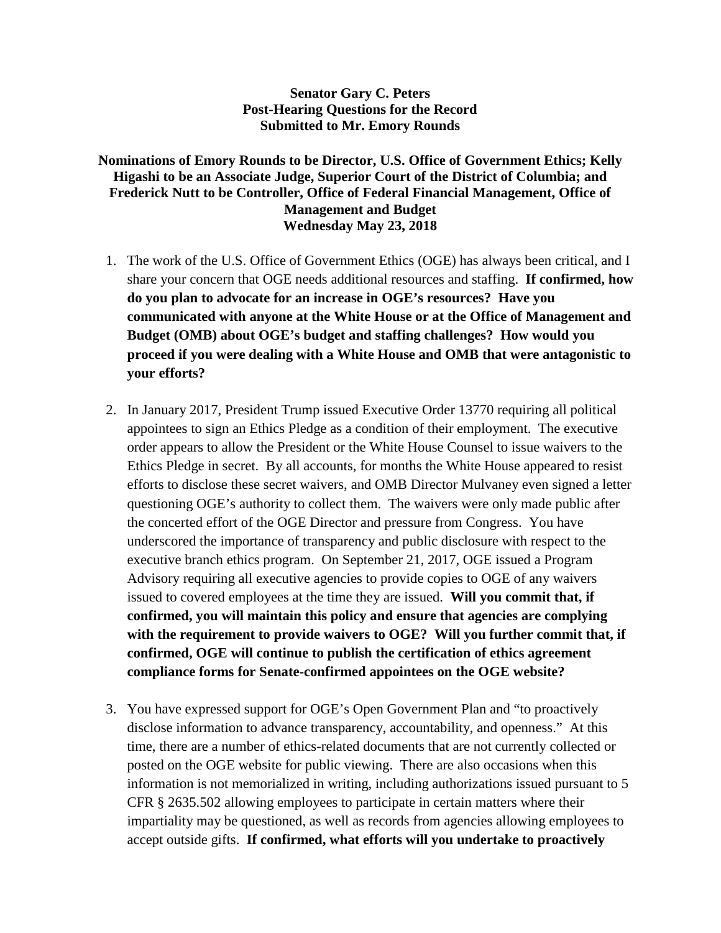# **Senator Gary C. Peters Post-Hearing Questions for the Record Submitted to Mr. Emory Rounds**

# **Nominations of Emory Rounds to be Director, U.S. Office of Government Ethics; Kelly Higashi to be an Associate Judge, Superior Court of the District of Columbia; and Frederick Nutt to be Controller, Office of Federal Financial Management, Office of Management and Budget Wednesday May 23, 2018**

- 1. The work of the U.S. Office of Government Ethics (OGE) has always been critical, and I share your concern that OGE needs additional resources and staffing. **If confirmed, how do you plan to advocate for an increase in OGE's resources? Have you communicated with anyone at the White House or at the Office of Management and Budget (OMB) about OGE's budget and staffing challenges? How would you proceed if you were dealing with a White House and OMB that were antagonistic to your efforts?**
- 2. In January 2017, President Trump issued Executive Order 13770 requiring all political appointees to sign an Ethics Pledge as a condition of their employment. The executive order appears to allow the President or the White House Counsel to issue waivers to the Ethics Pledge in secret. By all accounts, for months the White House appeared to resist efforts to disclose these secret waivers, and OMB Director Mulvaney even signed a letter questioning OGE's authority to collect them. The waivers were only made public after the concerted effort of the OGE Director and pressure from Congress. You have underscored the importance of transparency and public disclosure with respect to the executive branch ethics program. On September 21, 2017, OGE issued a Program Advisory requiring all executive agencies to provide copies to OGE of any waivers issued to covered employees at the time they are issued. **Will you commit that, if confirmed, you will maintain this policy and ensure that agencies are complying with the requirement to provide waivers to OGE? Will you further commit that, if confirmed, OGE will continue to publish the certification of ethics agreement compliance forms for Senate-confirmed appointees on the OGE website?**
- 3. You have expressed support for OGE's Open Government Plan and "to proactively disclose information to advance transparency, accountability, and openness." At this time, there are a number of ethics-related documents that are not currently collected or posted on the OGE website for public viewing. There are also occasions when this information is not memorialized in writing, including authorizations issued pursuant to 5 CFR § 2635.502 allowing employees to participate in certain matters where their impartiality may be questioned, as well as records from agencies allowing employees to accept outside gifts. **If confirmed, what efforts will you undertake to proactively**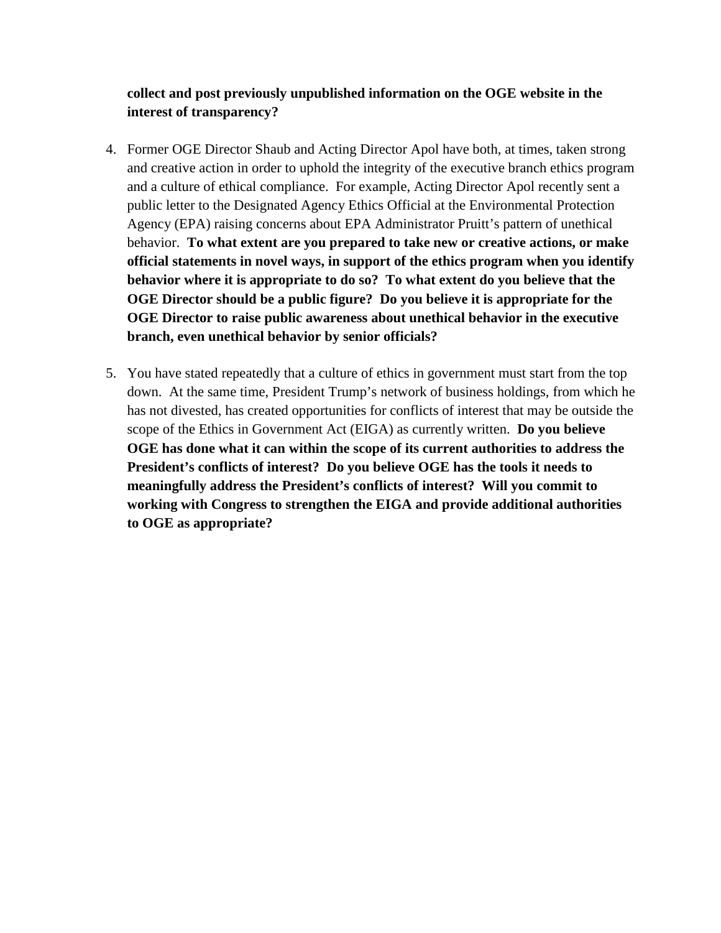# **collect and post previously unpublished information on the OGE website in the interest of transparency?**

- 4. Former OGE Director Shaub and Acting Director Apol have both, at times, taken strong and creative action in order to uphold the integrity of the executive branch ethics program and a culture of ethical compliance. For example, Acting Director Apol recently sent a public letter to the Designated Agency Ethics Official at the Environmental Protection Agency (EPA) raising concerns about EPA Administrator Pruitt's pattern of unethical behavior. **To what extent are you prepared to take new or creative actions, or make official statements in novel ways, in support of the ethics program when you identify behavior where it is appropriate to do so? To what extent do you believe that the OGE Director should be a public figure? Do you believe it is appropriate for the OGE Director to raise public awareness about unethical behavior in the executive branch, even unethical behavior by senior officials?**
- 5. You have stated repeatedly that a culture of ethics in government must start from the top down. At the same time, President Trump's network of business holdings, from which he has not divested, has created opportunities for conflicts of interest that may be outside the scope of the Ethics in Government Act (EIGA) as currently written. **Do you believe OGE has done what it can within the scope of its current authorities to address the President's conflicts of interest? Do you believe OGE has the tools it needs to meaningfully address the President's conflicts of interest? Will you commit to working with Congress to strengthen the EIGA and provide additional authorities to OGE as appropriate?**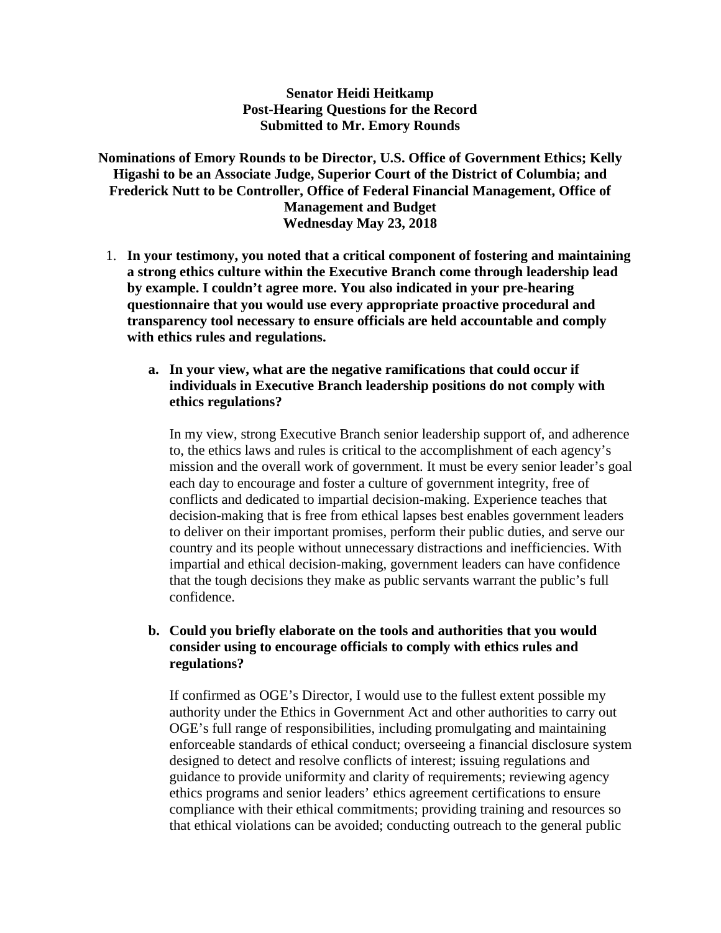#### **Senator Heidi Heitkamp Post-Hearing Questions for the Record Submitted to Mr. Emory Rounds**

**Nominations of Emory Rounds to be Director, U.S. Office of Government Ethics; Kelly Higashi to be an Associate Judge, Superior Court of the District of Columbia; and Frederick Nutt to be Controller, Office of Federal Financial Management, Office of Management and Budget Wednesday May 23, 2018**

1. **In your testimony, you noted that a critical component of fostering and maintaining a strong ethics culture within the Executive Branch come through leadership lead by example. I couldn't agree more. You also indicated in your pre-hearing questionnaire that you would use every appropriate proactive procedural and transparency tool necessary to ensure officials are held accountable and comply with ethics rules and regulations.**

#### **a. In your view, what are the negative ramifications that could occur if individuals in Executive Branch leadership positions do not comply with ethics regulations?**

In my view, strong Executive Branch senior leadership support of, and adherence to, the ethics laws and rules is critical to the accomplishment of each agency's mission and the overall work of government. It must be every senior leader's goal each day to encourage and foster a culture of government integrity, free of conflicts and dedicated to impartial decision-making. Experience teaches that decision-making that is free from ethical lapses best enables government leaders to deliver on their important promises, perform their public duties, and serve our country and its people without unnecessary distractions and inefficiencies. With impartial and ethical decision-making, government leaders can have confidence that the tough decisions they make as public servants warrant the public's full confidence.

# **b. Could you briefly elaborate on the tools and authorities that you would consider using to encourage officials to comply with ethics rules and regulations?**

If confirmed as OGE's Director, I would use to the fullest extent possible my authority under the Ethics in Government Act and other authorities to carry out OGE's full range of responsibilities, including promulgating and maintaining enforceable standards of ethical conduct; overseeing a financial disclosure system designed to detect and resolve conflicts of interest; issuing regulations and guidance to provide uniformity and clarity of requirements; reviewing agency ethics programs and senior leaders' ethics agreement certifications to ensure compliance with their ethical commitments; providing training and resources so that ethical violations can be avoided; conducting outreach to the general public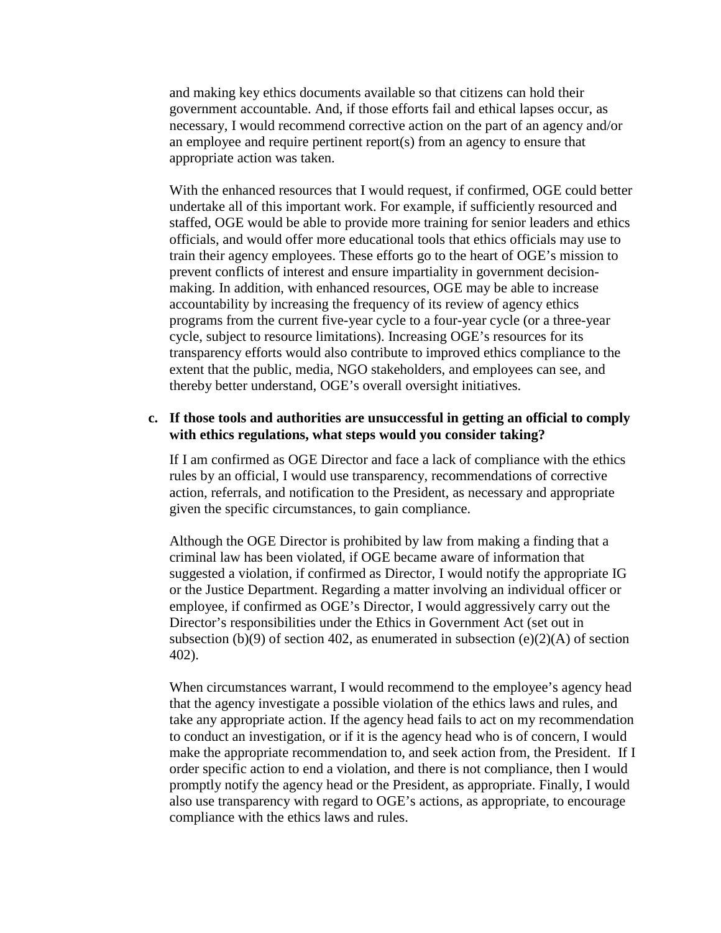and making key ethics documents available so that citizens can hold their government accountable. And, if those efforts fail and ethical lapses occur, as necessary, I would recommend corrective action on the part of an agency and/or an employee and require pertinent report(s) from an agency to ensure that appropriate action was taken.

With the enhanced resources that I would request, if confirmed, OGE could better undertake all of this important work. For example, if sufficiently resourced and staffed, OGE would be able to provide more training for senior leaders and ethics officials, and would offer more educational tools that ethics officials may use to train their agency employees. These efforts go to the heart of OGE's mission to prevent conflicts of interest and ensure impartiality in government decisionmaking. In addition, with enhanced resources, OGE may be able to increase accountability by increasing the frequency of its review of agency ethics programs from the current five-year cycle to a four-year cycle (or a three-year cycle, subject to resource limitations). Increasing OGE's resources for its transparency efforts would also contribute to improved ethics compliance to the extent that the public, media, NGO stakeholders, and employees can see, and thereby better understand, OGE's overall oversight initiatives.

#### **c. If those tools and authorities are unsuccessful in getting an official to comply with ethics regulations, what steps would you consider taking?**

If I am confirmed as OGE Director and face a lack of compliance with the ethics rules by an official, I would use transparency, recommendations of corrective action, referrals, and notification to the President, as necessary and appropriate given the specific circumstances, to gain compliance.

Although the OGE Director is prohibited by law from making a finding that a criminal law has been violated, if OGE became aware of information that suggested a violation, if confirmed as Director, I would notify the appropriate IG or the Justice Department. Regarding a matter involving an individual officer or employee, if confirmed as OGE's Director, I would aggressively carry out the Director's responsibilities under the Ethics in Government Act (set out in subsection (b)(9) of section 402, as enumerated in subsection (e)(2)(A) of section 402).

When circumstances warrant, I would recommend to the employee's agency head that the agency investigate a possible violation of the ethics laws and rules, and take any appropriate action. If the agency head fails to act on my recommendation to conduct an investigation, or if it is the agency head who is of concern, I would make the appropriate recommendation to, and seek action from, the President. If I order specific action to end a violation, and there is not compliance, then I would promptly notify the agency head or the President, as appropriate. Finally, I would also use transparency with regard to OGE's actions, as appropriate, to encourage compliance with the ethics laws and rules.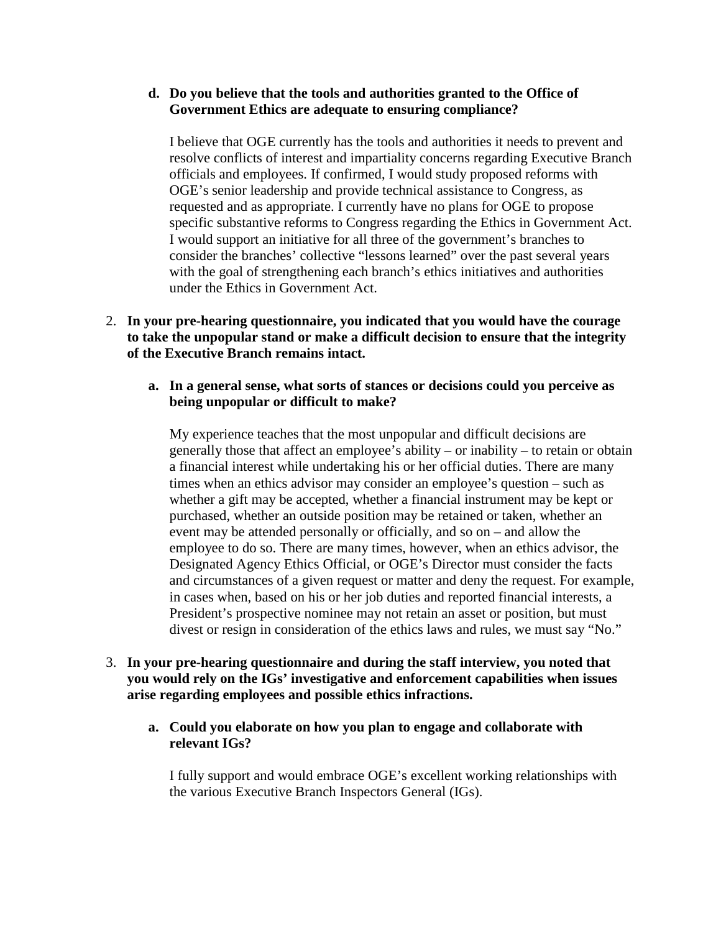#### **d. Do you believe that the tools and authorities granted to the Office of Government Ethics are adequate to ensuring compliance?**

I believe that OGE currently has the tools and authorities it needs to prevent and resolve conflicts of interest and impartiality concerns regarding Executive Branch officials and employees. If confirmed, I would study proposed reforms with OGE's senior leadership and provide technical assistance to Congress, as requested and as appropriate. I currently have no plans for OGE to propose specific substantive reforms to Congress regarding the Ethics in Government Act. I would support an initiative for all three of the government's branches to consider the branches' collective "lessons learned" over the past several years with the goal of strengthening each branch's ethics initiatives and authorities under the Ethics in Government Act.

- 2. **In your pre-hearing questionnaire, you indicated that you would have the courage to take the unpopular stand or make a difficult decision to ensure that the integrity of the Executive Branch remains intact.**
	- **a. In a general sense, what sorts of stances or decisions could you perceive as being unpopular or difficult to make?**

My experience teaches that the most unpopular and difficult decisions are generally those that affect an employee's ability – or inability – to retain or obtain a financial interest while undertaking his or her official duties. There are many times when an ethics advisor may consider an employee's question – such as whether a gift may be accepted, whether a financial instrument may be kept or purchased, whether an outside position may be retained or taken, whether an event may be attended personally or officially, and so on – and allow the employee to do so. There are many times, however, when an ethics advisor, the Designated Agency Ethics Official, or OGE's Director must consider the facts and circumstances of a given request or matter and deny the request. For example, in cases when, based on his or her job duties and reported financial interests, a President's prospective nominee may not retain an asset or position, but must divest or resign in consideration of the ethics laws and rules, we must say "No."

- 3. **In your pre-hearing questionnaire and during the staff interview, you noted that you would rely on the IGs' investigative and enforcement capabilities when issues arise regarding employees and possible ethics infractions.** 
	- **a. Could you elaborate on how you plan to engage and collaborate with relevant IGs?**

I fully support and would embrace OGE's excellent working relationships with the various Executive Branch Inspectors General (IGs).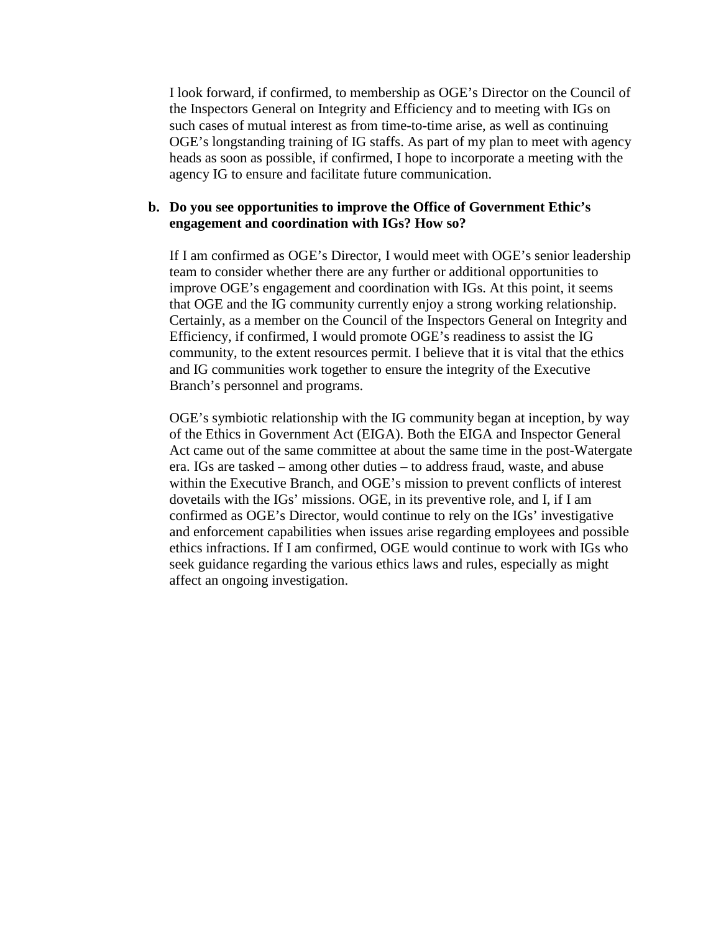I look forward, if confirmed, to membership as OGE's Director on the Council of the Inspectors General on Integrity and Efficiency and to meeting with IGs on such cases of mutual interest as from time-to-time arise, as well as continuing OGE's longstanding training of IG staffs. As part of my plan to meet with agency heads as soon as possible, if confirmed, I hope to incorporate a meeting with the agency IG to ensure and facilitate future communication.

#### **b. Do you see opportunities to improve the Office of Government Ethic's engagement and coordination with IGs? How so?**

If I am confirmed as OGE's Director, I would meet with OGE's senior leadership team to consider whether there are any further or additional opportunities to improve OGE's engagement and coordination with IGs. At this point, it seems that OGE and the IG community currently enjoy a strong working relationship. Certainly, as a member on the Council of the Inspectors General on Integrity and Efficiency, if confirmed, I would promote OGE's readiness to assist the IG community, to the extent resources permit. I believe that it is vital that the ethics and IG communities work together to ensure the integrity of the Executive Branch's personnel and programs.

OGE's symbiotic relationship with the IG community began at inception, by way of the Ethics in Government Act (EIGA). Both the EIGA and Inspector General Act came out of the same committee at about the same time in the post-Watergate era. IGs are tasked – among other duties – to address fraud, waste, and abuse within the Executive Branch, and OGE's mission to prevent conflicts of interest dovetails with the IGs' missions. OGE, in its preventive role, and I, if I am confirmed as OGE's Director, would continue to rely on the IGs' investigative and enforcement capabilities when issues arise regarding employees and possible ethics infractions. If I am confirmed, OGE would continue to work with IGs who seek guidance regarding the various ethics laws and rules, especially as might affect an ongoing investigation.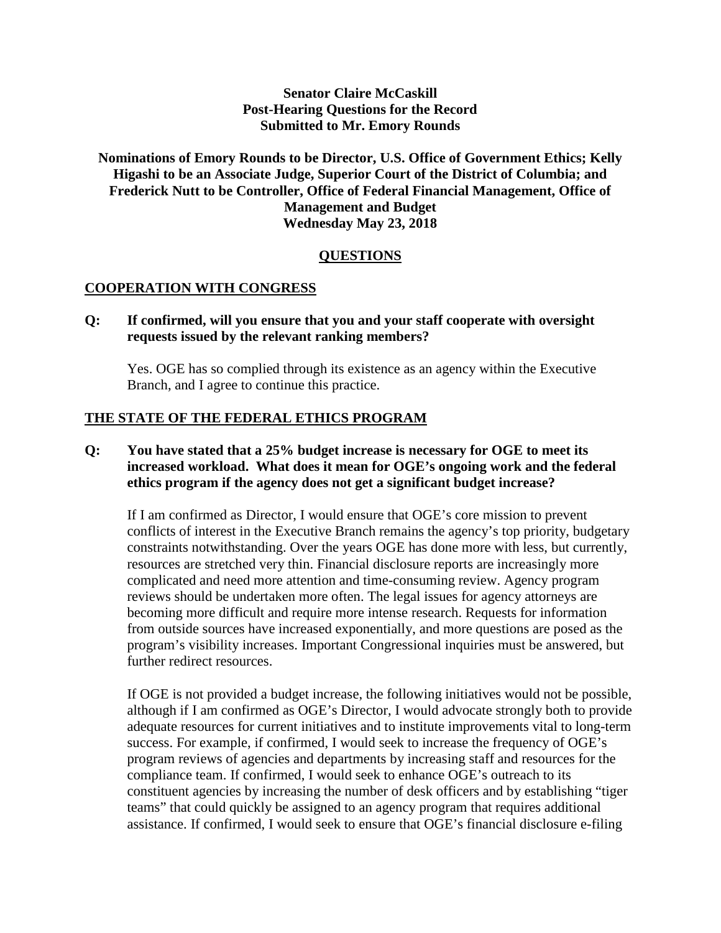# **Senator Claire McCaskill Post-Hearing Questions for the Record Submitted to Mr. Emory Rounds**

# **Nominations of Emory Rounds to be Director, U.S. Office of Government Ethics; Kelly Higashi to be an Associate Judge, Superior Court of the District of Columbia; and Frederick Nutt to be Controller, Office of Federal Financial Management, Office of Management and Budget Wednesday May 23, 2018**

# **QUESTIONS**

#### **COOPERATION WITH CONGRESS**

#### **Q: If confirmed, will you ensure that you and your staff cooperate with oversight requests issued by the relevant ranking members?**

Yes. OGE has so complied through its existence as an agency within the Executive Branch, and I agree to continue this practice.

#### **THE STATE OF THE FEDERAL ETHICS PROGRAM**

# **Q: You have stated that a 25% budget increase is necessary for OGE to meet its increased workload. What does it mean for OGE's ongoing work and the federal ethics program if the agency does not get a significant budget increase?**

If I am confirmed as Director, I would ensure that OGE's core mission to prevent conflicts of interest in the Executive Branch remains the agency's top priority, budgetary constraints notwithstanding. Over the years OGE has done more with less, but currently, resources are stretched very thin. Financial disclosure reports are increasingly more complicated and need more attention and time-consuming review. Agency program reviews should be undertaken more often. The legal issues for agency attorneys are becoming more difficult and require more intense research. Requests for information from outside sources have increased exponentially, and more questions are posed as the program's visibility increases. Important Congressional inquiries must be answered, but further redirect resources.

If OGE is not provided a budget increase, the following initiatives would not be possible, although if I am confirmed as OGE's Director, I would advocate strongly both to provide adequate resources for current initiatives and to institute improvements vital to long-term success. For example, if confirmed, I would seek to increase the frequency of OGE's program reviews of agencies and departments by increasing staff and resources for the compliance team. If confirmed, I would seek to enhance OGE's outreach to its constituent agencies by increasing the number of desk officers and by establishing "tiger teams" that could quickly be assigned to an agency program that requires additional assistance. If confirmed, I would seek to ensure that OGE's financial disclosure e-filing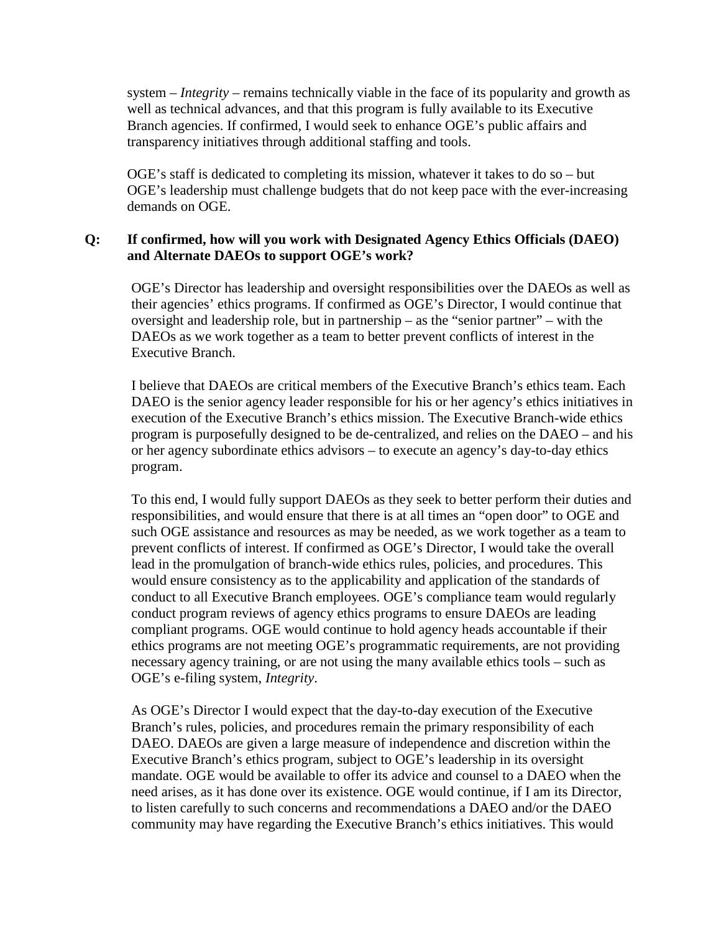system – *Integrity* – remains technically viable in the face of its popularity and growth as well as technical advances, and that this program is fully available to its Executive Branch agencies. If confirmed, I would seek to enhance OGE's public affairs and transparency initiatives through additional staffing and tools.

OGE's staff is dedicated to completing its mission, whatever it takes to do so – but OGE's leadership must challenge budgets that do not keep pace with the ever-increasing demands on OGE.

# **Q: If confirmed, how will you work with Designated Agency Ethics Officials (DAEO) and Alternate DAEOs to support OGE's work?**

OGE's Director has leadership and oversight responsibilities over the DAEOs as well as their agencies' ethics programs. If confirmed as OGE's Director, I would continue that oversight and leadership role, but in partnership – as the "senior partner" – with the DAEOs as we work together as a team to better prevent conflicts of interest in the Executive Branch.

I believe that DAEOs are critical members of the Executive Branch's ethics team. Each DAEO is the senior agency leader responsible for his or her agency's ethics initiatives in execution of the Executive Branch's ethics mission. The Executive Branch-wide ethics program is purposefully designed to be de-centralized, and relies on the DAEO – and his or her agency subordinate ethics advisors – to execute an agency's day-to-day ethics program.

To this end, I would fully support DAEOs as they seek to better perform their duties and responsibilities, and would ensure that there is at all times an "open door" to OGE and such OGE assistance and resources as may be needed, as we work together as a team to prevent conflicts of interest. If confirmed as OGE's Director, I would take the overall lead in the promulgation of branch-wide ethics rules, policies, and procedures. This would ensure consistency as to the applicability and application of the standards of conduct to all Executive Branch employees. OGE's compliance team would regularly conduct program reviews of agency ethics programs to ensure DAEOs are leading compliant programs. OGE would continue to hold agency heads accountable if their ethics programs are not meeting OGE's programmatic requirements, are not providing necessary agency training, or are not using the many available ethics tools – such as OGE's e-filing system, *Integrity*.

As OGE's Director I would expect that the day-to-day execution of the Executive Branch's rules, policies, and procedures remain the primary responsibility of each DAEO. DAEOs are given a large measure of independence and discretion within the Executive Branch's ethics program, subject to OGE's leadership in its oversight mandate. OGE would be available to offer its advice and counsel to a DAEO when the need arises, as it has done over its existence. OGE would continue, if I am its Director, to listen carefully to such concerns and recommendations a DAEO and/or the DAEO community may have regarding the Executive Branch's ethics initiatives. This would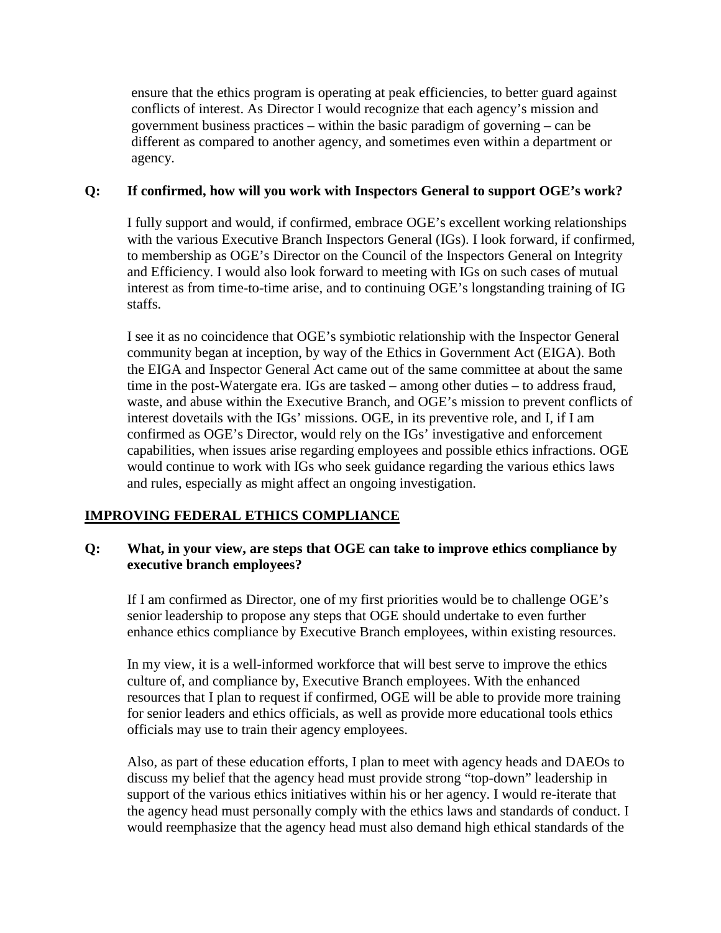ensure that the ethics program is operating at peak efficiencies, to better guard against conflicts of interest. As Director I would recognize that each agency's mission and government business practices – within the basic paradigm of governing – can be different as compared to another agency, and sometimes even within a department or agency.

# **Q: If confirmed, how will you work with Inspectors General to support OGE's work?**

I fully support and would, if confirmed, embrace OGE's excellent working relationships with the various Executive Branch Inspectors General (IGs). I look forward, if confirmed, to membership as OGE's Director on the Council of the Inspectors General on Integrity and Efficiency. I would also look forward to meeting with IGs on such cases of mutual interest as from time-to-time arise, and to continuing OGE's longstanding training of IG staffs.

I see it as no coincidence that OGE's symbiotic relationship with the Inspector General community began at inception, by way of the Ethics in Government Act (EIGA). Both the EIGA and Inspector General Act came out of the same committee at about the same time in the post-Watergate era. IGs are tasked – among other duties – to address fraud, waste, and abuse within the Executive Branch, and OGE's mission to prevent conflicts of interest dovetails with the IGs' missions. OGE, in its preventive role, and I, if I am confirmed as OGE's Director, would rely on the IGs' investigative and enforcement capabilities, when issues arise regarding employees and possible ethics infractions. OGE would continue to work with IGs who seek guidance regarding the various ethics laws and rules, especially as might affect an ongoing investigation.

# **IMPROVING FEDERAL ETHICS COMPLIANCE**

# **Q: What, in your view, are steps that OGE can take to improve ethics compliance by executive branch employees?**

If I am confirmed as Director, one of my first priorities would be to challenge OGE's senior leadership to propose any steps that OGE should undertake to even further enhance ethics compliance by Executive Branch employees, within existing resources.

In my view, it is a well-informed workforce that will best serve to improve the ethics culture of, and compliance by, Executive Branch employees. With the enhanced resources that I plan to request if confirmed, OGE will be able to provide more training for senior leaders and ethics officials, as well as provide more educational tools ethics officials may use to train their agency employees.

Also, as part of these education efforts, I plan to meet with agency heads and DAEOs to discuss my belief that the agency head must provide strong "top-down" leadership in support of the various ethics initiatives within his or her agency. I would re-iterate that the agency head must personally comply with the ethics laws and standards of conduct. I would reemphasize that the agency head must also demand high ethical standards of the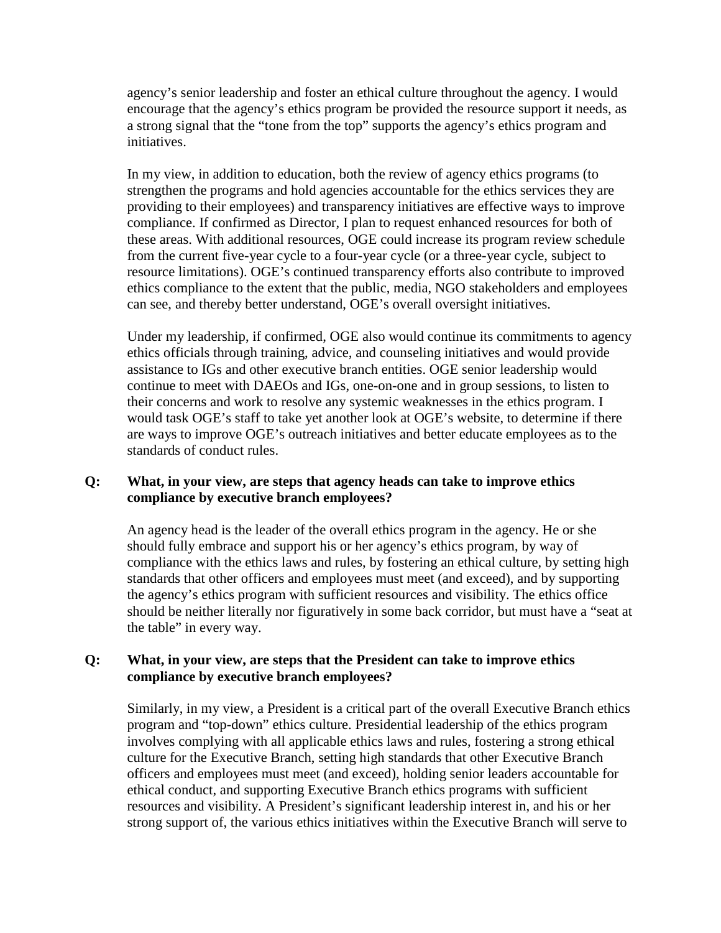agency's senior leadership and foster an ethical culture throughout the agency. I would encourage that the agency's ethics program be provided the resource support it needs, as a strong signal that the "tone from the top" supports the agency's ethics program and initiatives.

In my view, in addition to education, both the review of agency ethics programs (to strengthen the programs and hold agencies accountable for the ethics services they are providing to their employees) and transparency initiatives are effective ways to improve compliance. If confirmed as Director, I plan to request enhanced resources for both of these areas. With additional resources, OGE could increase its program review schedule from the current five-year cycle to a four-year cycle (or a three-year cycle, subject to resource limitations). OGE's continued transparency efforts also contribute to improved ethics compliance to the extent that the public, media, NGO stakeholders and employees can see, and thereby better understand, OGE's overall oversight initiatives.

Under my leadership, if confirmed, OGE also would continue its commitments to agency ethics officials through training, advice, and counseling initiatives and would provide assistance to IGs and other executive branch entities. OGE senior leadership would continue to meet with DAEOs and IGs, one-on-one and in group sessions, to listen to their concerns and work to resolve any systemic weaknesses in the ethics program. I would task OGE's staff to take yet another look at OGE's website, to determine if there are ways to improve OGE's outreach initiatives and better educate employees as to the standards of conduct rules.

# **Q: What, in your view, are steps that agency heads can take to improve ethics compliance by executive branch employees?**

An agency head is the leader of the overall ethics program in the agency. He or she should fully embrace and support his or her agency's ethics program, by way of compliance with the ethics laws and rules, by fostering an ethical culture, by setting high standards that other officers and employees must meet (and exceed), and by supporting the agency's ethics program with sufficient resources and visibility. The ethics office should be neither literally nor figuratively in some back corridor, but must have a "seat at the table" in every way.

# **Q: What, in your view, are steps that the President can take to improve ethics compliance by executive branch employees?**

Similarly, in my view, a President is a critical part of the overall Executive Branch ethics program and "top-down" ethics culture. Presidential leadership of the ethics program involves complying with all applicable ethics laws and rules, fostering a strong ethical culture for the Executive Branch, setting high standards that other Executive Branch officers and employees must meet (and exceed), holding senior leaders accountable for ethical conduct, and supporting Executive Branch ethics programs with sufficient resources and visibility. A President's significant leadership interest in, and his or her strong support of, the various ethics initiatives within the Executive Branch will serve to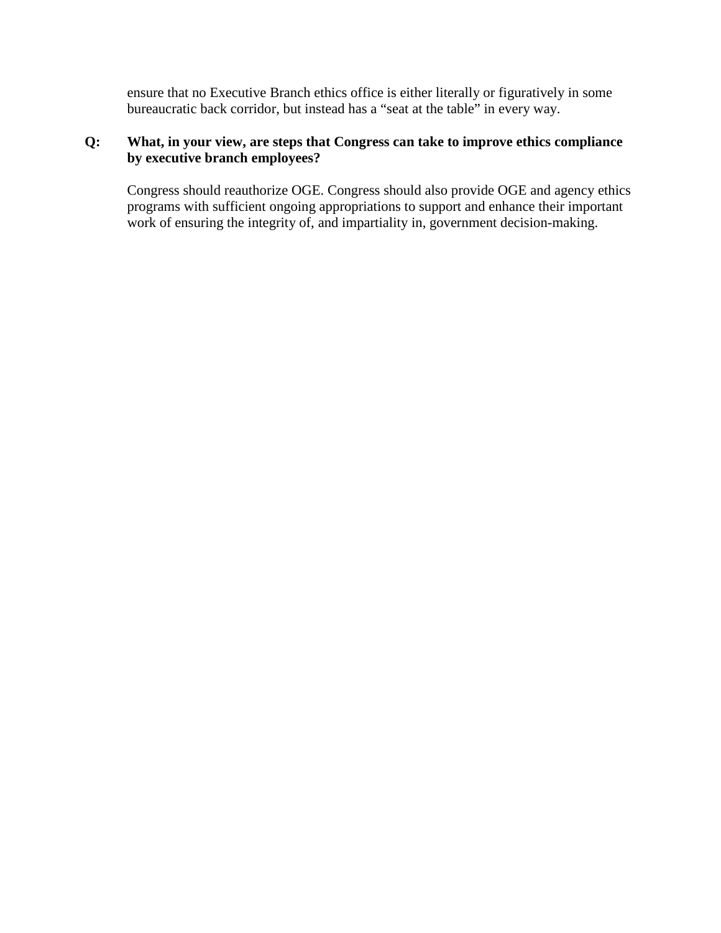ensure that no Executive Branch ethics office is either literally or figuratively in some bureaucratic back corridor, but instead has a "seat at the table" in every way.

# **Q: What, in your view, are steps that Congress can take to improve ethics compliance by executive branch employees?**

Congress should reauthorize OGE. Congress should also provide OGE and agency ethics programs with sufficient ongoing appropriations to support and enhance their important work of ensuring the integrity of, and impartiality in, government decision-making.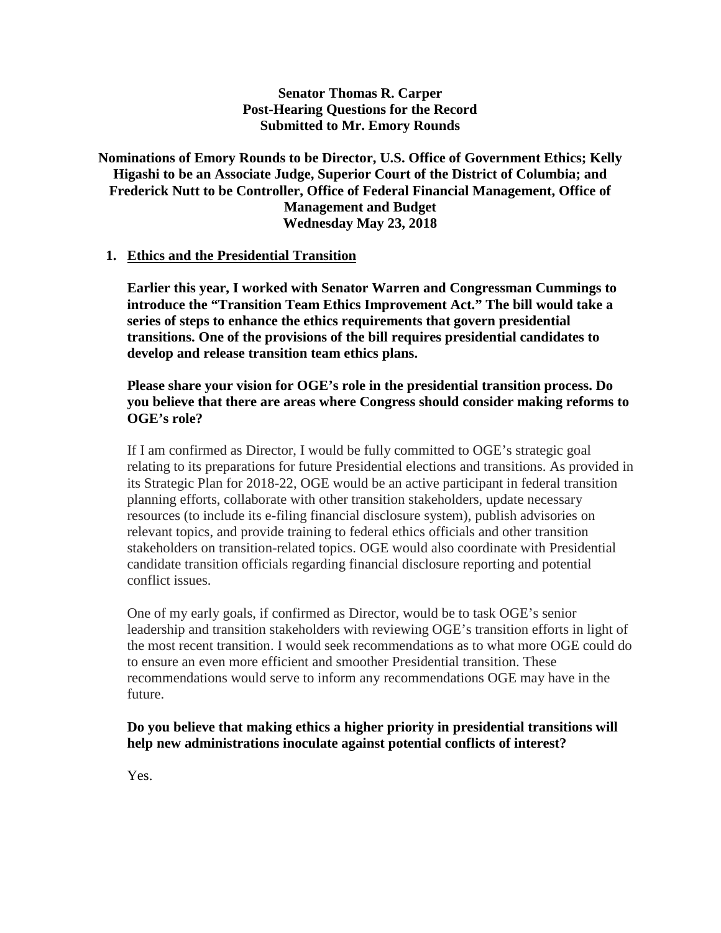#### **Senator Thomas R. Carper Post-Hearing Questions for the Record Submitted to Mr. Emory Rounds**

# **Nominations of Emory Rounds to be Director, U.S. Office of Government Ethics; Kelly Higashi to be an Associate Judge, Superior Court of the District of Columbia; and Frederick Nutt to be Controller, Office of Federal Financial Management, Office of Management and Budget Wednesday May 23, 2018**

#### **1. Ethics and the Presidential Transition**

**Earlier this year, I worked with Senator Warren and Congressman Cummings to introduce the "Transition Team Ethics Improvement Act." The bill would take a series of steps to enhance the ethics requirements that govern presidential transitions. One of the provisions of the bill requires presidential candidates to develop and release transition team ethics plans.**

#### **Please share your vision for OGE's role in the presidential transition process. Do you believe that there are areas where Congress should consider making reforms to OGE's role?**

If I am confirmed as Director, I would be fully committed to OGE's strategic goal relating to its preparations for future Presidential elections and transitions. As provided in its Strategic Plan for 2018-22, OGE would be an active participant in federal transition planning efforts, collaborate with other transition stakeholders, update necessary resources (to include its e-filing financial disclosure system), publish advisories on relevant topics, and provide training to federal ethics officials and other transition stakeholders on transition-related topics. OGE would also coordinate with Presidential candidate transition officials regarding financial disclosure reporting and potential conflict issues.

One of my early goals, if confirmed as Director, would be to task OGE's senior leadership and transition stakeholders with reviewing OGE's transition efforts in light of the most recent transition. I would seek recommendations as to what more OGE could do to ensure an even more efficient and smoother Presidential transition. These recommendations would serve to inform any recommendations OGE may have in the future.

#### **Do you believe that making ethics a higher priority in presidential transitions will help new administrations inoculate against potential conflicts of interest?**

Yes.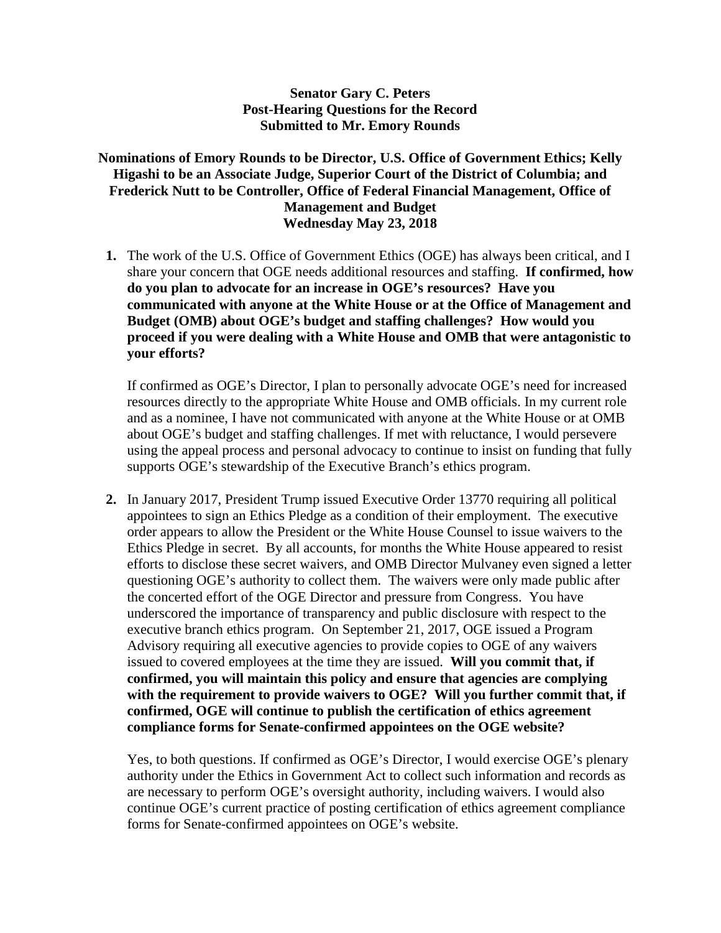# **Senator Gary C. Peters Post-Hearing Questions for the Record Submitted to Mr. Emory Rounds**

# **Nominations of Emory Rounds to be Director, U.S. Office of Government Ethics; Kelly Higashi to be an Associate Judge, Superior Court of the District of Columbia; and Frederick Nutt to be Controller, Office of Federal Financial Management, Office of Management and Budget Wednesday May 23, 2018**

**1.** The work of the U.S. Office of Government Ethics (OGE) has always been critical, and I share your concern that OGE needs additional resources and staffing. **If confirmed, how do you plan to advocate for an increase in OGE's resources? Have you communicated with anyone at the White House or at the Office of Management and Budget (OMB) about OGE's budget and staffing challenges? How would you proceed if you were dealing with a White House and OMB that were antagonistic to your efforts?**

If confirmed as OGE's Director, I plan to personally advocate OGE's need for increased resources directly to the appropriate White House and OMB officials. In my current role and as a nominee, I have not communicated with anyone at the White House or at OMB about OGE's budget and staffing challenges. If met with reluctance, I would persevere using the appeal process and personal advocacy to continue to insist on funding that fully supports OGE's stewardship of the Executive Branch's ethics program.

**2.** In January 2017, President Trump issued Executive Order 13770 requiring all political appointees to sign an Ethics Pledge as a condition of their employment. The executive order appears to allow the President or the White House Counsel to issue waivers to the Ethics Pledge in secret. By all accounts, for months the White House appeared to resist efforts to disclose these secret waivers, and OMB Director Mulvaney even signed a letter questioning OGE's authority to collect them. The waivers were only made public after the concerted effort of the OGE Director and pressure from Congress. You have underscored the importance of transparency and public disclosure with respect to the executive branch ethics program. On September 21, 2017, OGE issued a Program Advisory requiring all executive agencies to provide copies to OGE of any waivers issued to covered employees at the time they are issued. **Will you commit that, if confirmed, you will maintain this policy and ensure that agencies are complying with the requirement to provide waivers to OGE? Will you further commit that, if confirmed, OGE will continue to publish the certification of ethics agreement compliance forms for Senate-confirmed appointees on the OGE website?**

Yes, to both questions. If confirmed as OGE's Director, I would exercise OGE's plenary authority under the Ethics in Government Act to collect such information and records as are necessary to perform OGE's oversight authority, including waivers. I would also continue OGE's current practice of posting certification of ethics agreement compliance forms for Senate-confirmed appointees on OGE's website.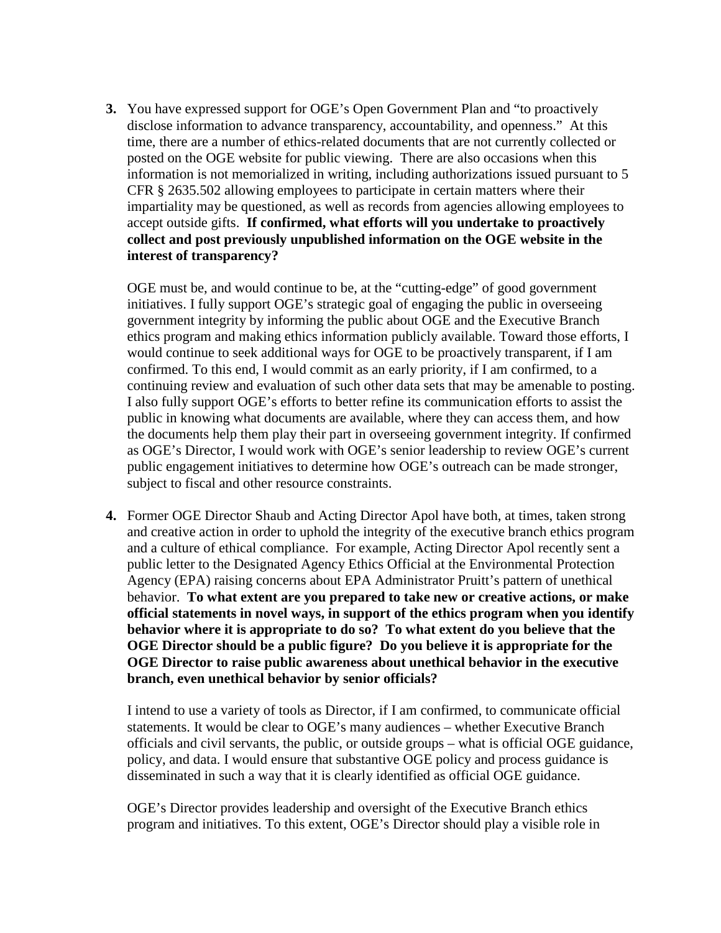**3.** You have expressed support for OGE's Open Government Plan and "to proactively disclose information to advance transparency, accountability, and openness." At this time, there are a number of ethics-related documents that are not currently collected or posted on the OGE website for public viewing. There are also occasions when this information is not memorialized in writing, including authorizations issued pursuant to 5 CFR § 2635.502 allowing employees to participate in certain matters where their impartiality may be questioned, as well as records from agencies allowing employees to accept outside gifts. **If confirmed, what efforts will you undertake to proactively collect and post previously unpublished information on the OGE website in the interest of transparency?** 

OGE must be, and would continue to be, at the "cutting-edge" of good government initiatives. I fully support OGE's strategic goal of engaging the public in overseeing government integrity by informing the public about OGE and the Executive Branch ethics program and making ethics information publicly available. Toward those efforts, I would continue to seek additional ways for OGE to be proactively transparent, if I am confirmed. To this end, I would commit as an early priority, if I am confirmed, to a continuing review and evaluation of such other data sets that may be amenable to posting. I also fully support OGE's efforts to better refine its communication efforts to assist the public in knowing what documents are available, where they can access them, and how the documents help them play their part in overseeing government integrity. If confirmed as OGE's Director, I would work with OGE's senior leadership to review OGE's current public engagement initiatives to determine how OGE's outreach can be made stronger, subject to fiscal and other resource constraints.

**4.** Former OGE Director Shaub and Acting Director Apol have both, at times, taken strong and creative action in order to uphold the integrity of the executive branch ethics program and a culture of ethical compliance. For example, Acting Director Apol recently sent a public letter to the Designated Agency Ethics Official at the Environmental Protection Agency (EPA) raising concerns about EPA Administrator Pruitt's pattern of unethical behavior. **To what extent are you prepared to take new or creative actions, or make official statements in novel ways, in support of the ethics program when you identify behavior where it is appropriate to do so? To what extent do you believe that the OGE Director should be a public figure? Do you believe it is appropriate for the OGE Director to raise public awareness about unethical behavior in the executive branch, even unethical behavior by senior officials?**

I intend to use a variety of tools as Director, if I am confirmed, to communicate official statements. It would be clear to OGE's many audiences – whether Executive Branch officials and civil servants, the public, or outside groups – what is official OGE guidance, policy, and data. I would ensure that substantive OGE policy and process guidance is disseminated in such a way that it is clearly identified as official OGE guidance.

OGE's Director provides leadership and oversight of the Executive Branch ethics program and initiatives. To this extent, OGE's Director should play a visible role in